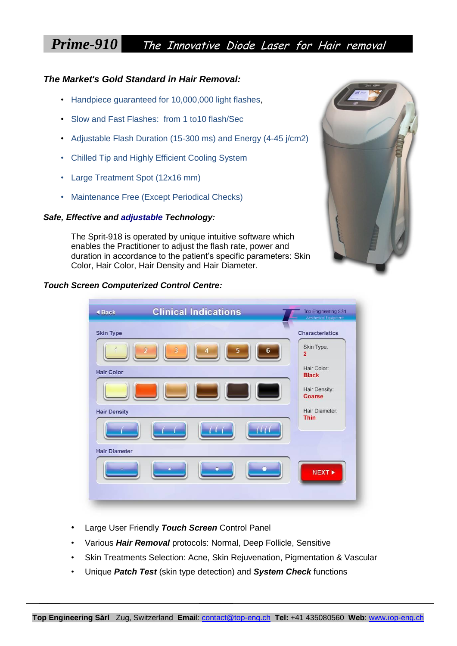## *Prime-910* The Innovative Diode Laser for Hair removal \_

## *The Market's Gold Standard in Hair Removal:*

- Handpiece guaranteed for 10,000,000 light flashes,
- Slow and Fast Flashes: from 1 to10 flash/Sec
- Adjustable Flash Duration (15-300 ms) and Energy (4-45 j/cm2)
- Chilled Tip and Highly Efficient Cooling System
- Large Treatment Spot (12x16 mm)
- Maintenance Free (Except Periodical Checks)

### *Safe, Effective and adjustable Technology:*

The Sprit-918 is operated by unique intuitive software which enables the Practitioner to adjust the flash rate, power and duration in accordance to the patient's specific parameters: Skin Color, Hair Color, Hair Density and Hair Diameter.

### *Touch Screen Computerized Control Centre:*



| <b>Clinical Indications</b><br><b>∢Back</b>                     | Top Engineering Sarl<br>Aesthetical Equipment |
|-----------------------------------------------------------------|-----------------------------------------------|
| <b>Skin Type</b>                                                | <b>Characteristics</b>                        |
| 3<br>5<br>$\overline{2}$<br>$6\phantom{1}6$<br>$\boldsymbol{4}$ | Skin Type:<br>$\overline{2}$                  |
| <b>Hair Color</b>                                               | Hair Color:<br><b>Black</b>                   |
|                                                                 | Hair Density:<br><b>Coarse</b>                |
| <b>Hair Density</b>                                             | Hair Diameter:<br><b>Thin</b>                 |
|                                                                 |                                               |
| <b>Hair Diameter</b>                                            |                                               |
|                                                                 | NEXT >                                        |
|                                                                 |                                               |

• Large User Friendly *Touch Screen* Control Panel

 **\_\_\_\_\_ \_\_\_\_\_\_\_\_** 

- Various *Hair Removal* protocols: Normal, Deep Follicle, Sensitive
- Skin Treatments Selection: Acne, Skin Rejuvenation, Pigmentation & Vascular
- Unique *Patch Test* (skin type detection) and *System Check* functions